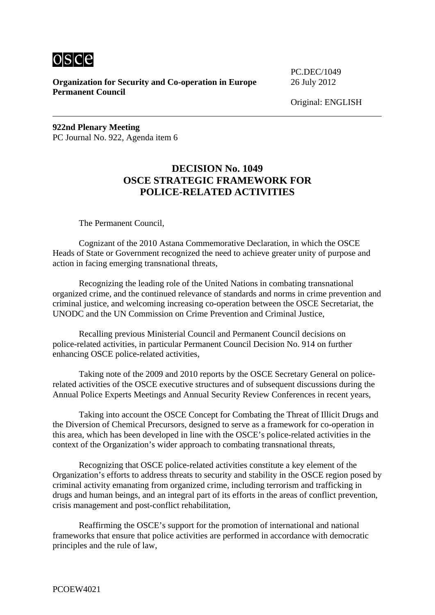osce

**Organization for Security and Co-operation in Europe** 26 July 2012 **Permanent Council** 

PC.DEC/1049

Original: ENGLISH

**922nd Plenary Meeting**  PC Journal No. 922, Agenda item 6

## **DECISION No. 1049 OSCE STRATEGIC FRAMEWORK FOR POLICE-RELATED ACTIVITIES**

The Permanent Council,

 Cognizant of the 2010 Astana Commemorative Declaration, in which the OSCE Heads of State or Government recognized the need to achieve greater unity of purpose and action in facing emerging transnational threats,

 Recognizing the leading role of the United Nations in combating transnational organized crime, and the continued relevance of standards and norms in crime prevention and criminal justice, and welcoming increasing co-operation between the OSCE Secretariat, the UNODC and the UN Commission on Crime Prevention and Criminal Justice,

 Recalling previous Ministerial Council and Permanent Council decisions on police-related activities, in particular Permanent Council Decision No. 914 on further enhancing OSCE police-related activities,

 Taking note of the 2009 and 2010 reports by the OSCE Secretary General on policerelated activities of the OSCE executive structures and of subsequent discussions during the Annual Police Experts Meetings and Annual Security Review Conferences in recent years,

 Taking into account the OSCE Concept for Combating the Threat of Illicit Drugs and the Diversion of Chemical Precursors, designed to serve as a framework for co-operation in this area, which has been developed in line with the OSCE's police-related activities in the context of the Organization's wider approach to combating transnational threats,

 Recognizing that OSCE police-related activities constitute a key element of the Organization's efforts to address threats to security and stability in the OSCE region posed by criminal activity emanating from organized crime, including terrorism and trafficking in drugs and human beings, and an integral part of its efforts in the areas of conflict prevention, crisis management and post-conflict rehabilitation,

 Reaffirming the OSCE's support for the promotion of international and national frameworks that ensure that police activities are performed in accordance with democratic principles and the rule of law,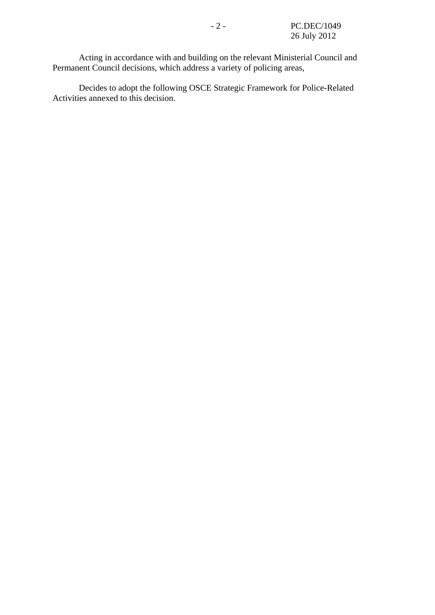Acting in accordance with and building on the relevant Ministerial Council and Permanent Council decisions, which address a variety of policing areas,

 Decides to adopt the following OSCE Strategic Framework for Police-Related Activities annexed to this decision.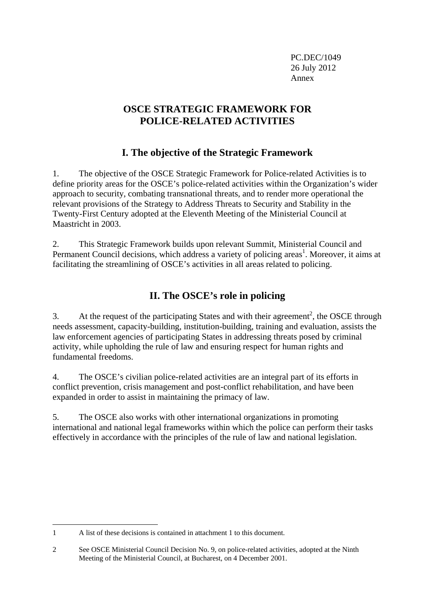PC.DEC/1049 26 July 2012 Annex

# **OSCE STRATEGIC FRAMEWORK FOR POLICE-RELATED ACTIVITIES**

# **I. The objective of the Strategic Framework**

1. The objective of the OSCE Strategic Framework for Police-related Activities is to define priority areas for the OSCE's police-related activities within the Organization's wider approach to security, combating transnational threats, and to render more operational the relevant provisions of the Strategy to Address Threats to Security and Stability in the Twenty-First Century adopted at the Eleventh Meeting of the Ministerial Council at Maastricht in 2003.

2. This Strategic Framework builds upon relevant Summit, Ministerial Council and Permanent Council decisions, which address a variety of policing areas<sup>1</sup>. Moreover, it aims at facilitating the streamlining of OSCE's activities in all areas related to policing.

# **II. The OSCE's role in policing**

3. At the request of the participating States and with their agreement<sup>2</sup>, the OSCE through needs assessment, capacity-building, institution-building, training and evaluation, assists the law enforcement agencies of participating States in addressing threats posed by criminal activity, while upholding the rule of law and ensuring respect for human rights and fundamental freedoms.

4. The OSCE's civilian police-related activities are an integral part of its efforts in conflict prevention, crisis management and post-conflict rehabilitation, and have been expanded in order to assist in maintaining the primacy of law.

5. The OSCE also works with other international organizations in promoting international and national legal frameworks within which the police can perform their tasks effectively in accordance with the principles of the rule of law and national legislation.

1

<sup>1</sup> A list of these decisions is contained in attachment 1 to this document.

<sup>2</sup> See OSCE Ministerial Council Decision No. 9, on police-related activities, adopted at the Ninth Meeting of the Ministerial Council, at Bucharest, on 4 December 2001.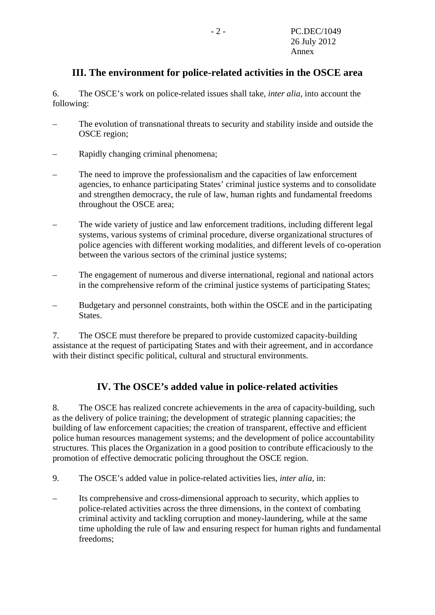## **III. The environment for police-related activities in the OSCE area**

6. The OSCE's work on police-related issues shall take, *inter alia*, into account the following:

- The evolution of transnational threats to security and stability inside and outside the OSCE region;
- Rapidly changing criminal phenomena;
- The need to improve the professionalism and the capacities of law enforcement agencies, to enhance participating States' criminal justice systems and to consolidate and strengthen democracy, the rule of law, human rights and fundamental freedoms throughout the OSCE area;
- The wide variety of justice and law enforcement traditions, including different legal systems, various systems of criminal procedure, diverse organizational structures of police agencies with different working modalities, and different levels of co-operation between the various sectors of the criminal justice systems;
- The engagement of numerous and diverse international, regional and national actors in the comprehensive reform of the criminal justice systems of participating States;
- Budgetary and personnel constraints, both within the OSCE and in the participating States.

7. The OSCE must therefore be prepared to provide customized capacity-building assistance at the request of participating States and with their agreement, and in accordance with their distinct specific political, cultural and structural environments.

## **IV. The OSCE's added value in police-related activities**

8. The OSCE has realized concrete achievements in the area of capacity-building, such as the delivery of police training; the development of strategic planning capacities; the building of law enforcement capacities; the creation of transparent, effective and efficient police human resources management systems; and the development of police accountability structures. This places the Organization in a good position to contribute efficaciously to the promotion of effective democratic policing throughout the OSCE region.

- 9. The OSCE's added value in police-related activities lies, *inter alia*, in:
- Its comprehensive and cross-dimensional approach to security, which applies to police-related activities across the three dimensions, in the context of combating criminal activity and tackling corruption and money-laundering, while at the same time upholding the rule of law and ensuring respect for human rights and fundamental freedoms;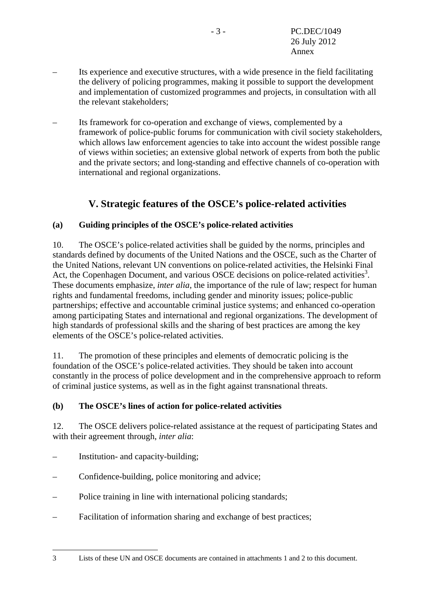- Its experience and executive structures, with a wide presence in the field facilitating the delivery of policing programmes, making it possible to support the development and implementation of customized programmes and projects, in consultation with all the relevant stakeholders;
- Its framework for co-operation and exchange of views, complemented by a framework of police-public forums for communication with civil society stakeholders, which allows law enforcement agencies to take into account the widest possible range of views within societies; an extensive global network of experts from both the public and the private sectors; and long-standing and effective channels of co-operation with international and regional organizations.

# **V. Strategic features of the OSCE's police-related activities**

## **(a) Guiding principles of the OSCE's police-related activities**

10. The OSCE's police-related activities shall be guided by the norms, principles and standards defined by documents of the United Nations and the OSCE, such as the Charter of the United Nations, relevant UN conventions on police-related activities, the Helsinki Final Act, the Copenhagen Document, and various OSCE decisions on police-related activities<sup>3</sup>. These documents emphasize, *inter alia*, the importance of the rule of law; respect for human rights and fundamental freedoms, including gender and minority issues; police-public partnerships; effective and accountable criminal justice systems; and enhanced co-operation among participating States and international and regional organizations. The development of high standards of professional skills and the sharing of best practices are among the key elements of the OSCE's police-related activities.

11. The promotion of these principles and elements of democratic policing is the foundation of the OSCE's police-related activities. They should be taken into account constantly in the process of police development and in the comprehensive approach to reform of criminal justice systems, as well as in the fight against transnational threats.

## **(b) The OSCE's lines of action for police-related activities**

12. The OSCE delivers police-related assistance at the request of participating States and with their agreement through, *inter alia*:

Institution- and capacity-building;

1

- Confidence-building, police monitoring and advice;
- Police training in line with international policing standards;
- Facilitation of information sharing and exchange of best practices;

<sup>3</sup> Lists of these UN and OSCE documents are contained in attachments 1 and 2 to this document.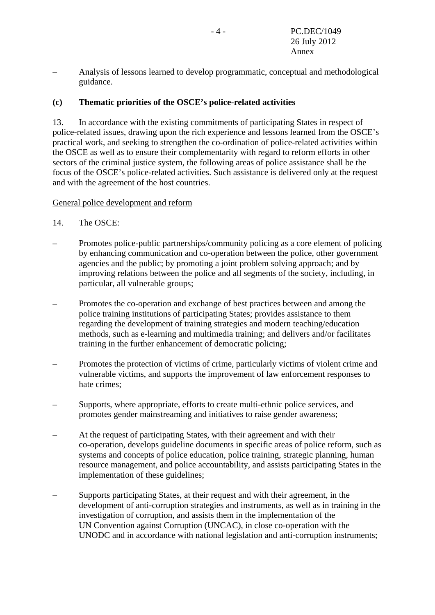– Analysis of lessons learned to develop programmatic, conceptual and methodological guidance.

#### **(c) Thematic priorities of the OSCE's police-related activities**

13. In accordance with the existing commitments of participating States in respect of police-related issues, drawing upon the rich experience and lessons learned from the OSCE's practical work, and seeking to strengthen the co-ordination of police-related activities within the OSCE as well as to ensure their complementarity with regard to reform efforts in other sectors of the criminal justice system, the following areas of police assistance shall be the focus of the OSCE's police-related activities. Such assistance is delivered only at the request and with the agreement of the host countries.

#### General police development and reform

- 14. The OSCE:
- Promotes police-public partnerships/community policing as a core element of policing by enhancing communication and co-operation between the police, other government agencies and the public; by promoting a joint problem solving approach; and by improving relations between the police and all segments of the society, including, in particular, all vulnerable groups;
- Promotes the co-operation and exchange of best practices between and among the police training institutions of participating States; provides assistance to them regarding the development of training strategies and modern teaching/education methods, such as e-learning and multimedia training; and delivers and/or facilitates training in the further enhancement of democratic policing;
- Promotes the protection of victims of crime, particularly victims of violent crime and vulnerable victims, and supports the improvement of law enforcement responses to hate crimes;
- Supports, where appropriate, efforts to create multi-ethnic police services, and promotes gender mainstreaming and initiatives to raise gender awareness;
- At the request of participating States, with their agreement and with their co-operation, develops guideline documents in specific areas of police reform, such as systems and concepts of police education, police training, strategic planning, human resource management, and police accountability, and assists participating States in the implementation of these guidelines;
- Supports participating States, at their request and with their agreement, in the development of anti-corruption strategies and instruments, as well as in training in the investigation of corruption, and assists them in the implementation of the UN Convention against Corruption (UNCAC), in close co-operation with the UNODC and in accordance with national legislation and anti-corruption instruments;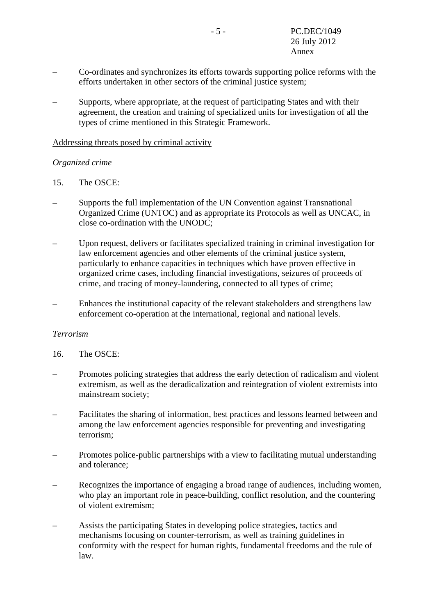- Co-ordinates and synchronizes its efforts towards supporting police reforms with the efforts undertaken in other sectors of the criminal justice system;
- Supports, where appropriate, at the request of participating States and with their agreement, the creation and training of specialized units for investigation of all the types of crime mentioned in this Strategic Framework.

#### Addressing threats posed by criminal activity

### *Organized crime*

- 15. The OSCE:
- Supports the full implementation of the UN Convention against Transnational Organized Crime (UNTOC) and as appropriate its Protocols as well as UNCAC, in close co-ordination with the UNODC;
- Upon request, delivers or facilitates specialized training in criminal investigation for law enforcement agencies and other elements of the criminal justice system, particularly to enhance capacities in techniques which have proven effective in organized crime cases, including financial investigations, seizures of proceeds of crime, and tracing of money-laundering, connected to all types of crime;
- Enhances the institutional capacity of the relevant stakeholders and strengthens law enforcement co-operation at the international, regional and national levels.

### *Terrorism*

- 16. The OSCE:
- Promotes policing strategies that address the early detection of radicalism and violent extremism, as well as the deradicalization and reintegration of violent extremists into mainstream society;
- Facilitates the sharing of information, best practices and lessons learned between and among the law enforcement agencies responsible for preventing and investigating terrorism;
- Promotes police-public partnerships with a view to facilitating mutual understanding and tolerance;
- Recognizes the importance of engaging a broad range of audiences, including women, who play an important role in peace-building, conflict resolution, and the countering of violent extremism;
- Assists the participating States in developing police strategies, tactics and mechanisms focusing on counter-terrorism, as well as training guidelines in conformity with the respect for human rights, fundamental freedoms and the rule of law.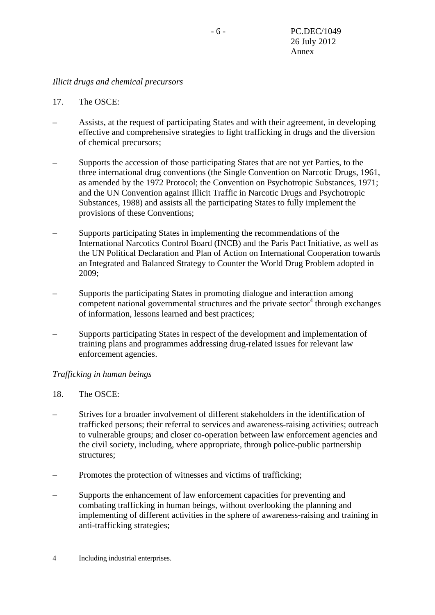#### *Illicit drugs and chemical precursors*

- 17. The OSCE:
- Assists, at the request of participating States and with their agreement, in developing effective and comprehensive strategies to fight trafficking in drugs and the diversion of chemical precursors;
- Supports the accession of those participating States that are not yet Parties, to the three international drug conventions (the Single Convention on Narcotic Drugs, 1961, as amended by the 1972 Protocol; the Convention on Psychotropic Substances, 1971; and the UN Convention against Illicit Traffic in Narcotic Drugs and Psychotropic Substances, 1988) and assists all the participating States to fully implement the provisions of these Conventions;
- Supports participating States in implementing the recommendations of the International Narcotics Control Board (INCB) and the Paris Pact Initiative, as well as the UN Political Declaration and Plan of Action on International Cooperation towards an Integrated and Balanced Strategy to Counter the World Drug Problem adopted in 2009;
- Supports the participating States in promoting dialogue and interaction among  $\frac{1}{2}$  competent national governmental structures and the private sector<sup>4</sup> through exchanges of information, lessons learned and best practices;
- Supports participating States in respect of the development and implementation of training plans and programmes addressing drug-related issues for relevant law enforcement agencies.

### *Trafficking in human beings*

#### 18. The OSCE:

- Strives for a broader involvement of different stakeholders in the identification of trafficked persons; their referral to services and awareness-raising activities; outreach to vulnerable groups; and closer co-operation between law enforcement agencies and the civil society, including, where appropriate, through police-public partnership structures;
- Promotes the protection of witnesses and victims of trafficking;
- Supports the enhancement of law enforcement capacities for preventing and combating trafficking in human beings, without overlooking the planning and implementing of different activities in the sphere of awareness-raising and training in anti-trafficking strategies;

1

<sup>4</sup> Including industrial enterprises.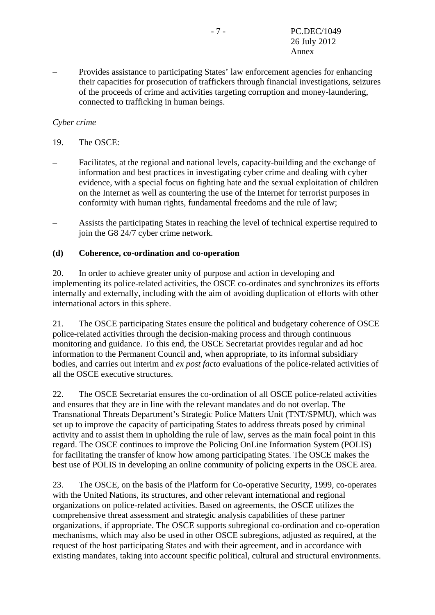– Provides assistance to participating States' law enforcement agencies for enhancing their capacities for prosecution of traffickers through financial investigations, seizures of the proceeds of crime and activities targeting corruption and money-laundering, connected to trafficking in human beings.

### *Cyber crime*

- 19. The OSCE:
- Facilitates, at the regional and national levels, capacity-building and the exchange of information and best practices in investigating cyber crime and dealing with cyber evidence, with a special focus on fighting hate and the sexual exploitation of children on the Internet as well as countering the use of the Internet for terrorist purposes in conformity with human rights, fundamental freedoms and the rule of law;
- Assists the participating States in reaching the level of technical expertise required to join the G8 24/7 cyber crime network.

#### **(d) Coherence, co-ordination and co-operation**

20. In order to achieve greater unity of purpose and action in developing and implementing its police-related activities, the OSCE co-ordinates and synchronizes its efforts internally and externally, including with the aim of avoiding duplication of efforts with other international actors in this sphere.

21. The OSCE participating States ensure the political and budgetary coherence of OSCE police-related activities through the decision-making process and through continuous monitoring and guidance. To this end, the OSCE Secretariat provides regular and ad hoc information to the Permanent Council and, when appropriate, to its informal subsidiary bodies, and carries out interim and *ex post facto* evaluations of the police-related activities of all the OSCE executive structures.

22. The OSCE Secretariat ensures the co-ordination of all OSCE police-related activities and ensures that they are in line with the relevant mandates and do not overlap. The Transnational Threats Department's Strategic Police Matters Unit (TNT/SPMU), which was set up to improve the capacity of participating States to address threats posed by criminal activity and to assist them in upholding the rule of law, serves as the main focal point in this regard. The OSCE continues to improve the Policing OnLine Information System (POLIS) for facilitating the transfer of know how among participating States. The OSCE makes the best use of POLIS in developing an online community of policing experts in the OSCE area.

23. The OSCE, on the basis of the Platform for Co-operative Security, 1999, co-operates with the United Nations, its structures, and other relevant international and regional organizations on police-related activities. Based on agreements, the OSCE utilizes the comprehensive threat assessment and strategic analysis capabilities of these partner organizations, if appropriate. The OSCE supports subregional co-ordination and co-operation mechanisms, which may also be used in other OSCE subregions, adjusted as required, at the request of the host participating States and with their agreement, and in accordance with existing mandates, taking into account specific political, cultural and structural environments.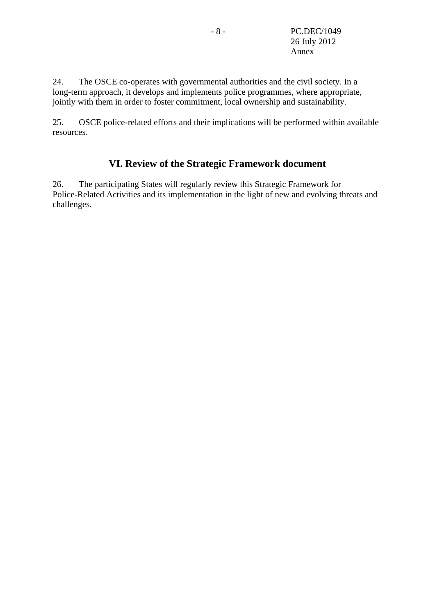24. The OSCE co-operates with governmental authorities and the civil society. In a long-term approach, it develops and implements police programmes, where appropriate, jointly with them in order to foster commitment, local ownership and sustainability.

25. OSCE police-related efforts and their implications will be performed within available resources.

# **VI. Review of the Strategic Framework document**

26. The participating States will regularly review this Strategic Framework for Police-Related Activities and its implementation in the light of new and evolving threats and challenges.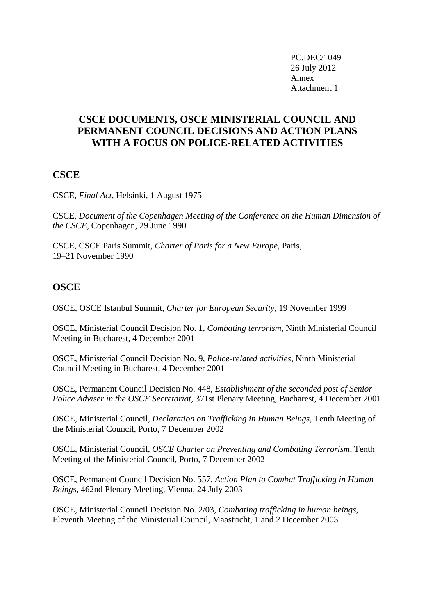PC.DEC/1049 26 July 2012 Annex Attachment 1

## **CSCE DOCUMENTS, OSCE MINISTERIAL COUNCIL AND PERMANENT COUNCIL DECISIONS AND ACTION PLANS WITH A FOCUS ON POLICE-RELATED ACTIVITIES**

## **CSCE**

CSCE, *Final Act*, Helsinki, 1 August 1975

CSCE, *Document of the Copenhagen Meeting of the Conference on the Human Dimension of the CSCE*, Copenhagen, 29 June 1990

CSCE, CSCE Paris Summit, *Charter of Paris for a New Europe*, Paris, 19–21 November 1990

## **OSCE**

OSCE, OSCE Istanbul Summit, *Charter for European Security*, 19 November 1999

OSCE, Ministerial Council Decision No. 1, *Combating terrorism*, Ninth Ministerial Council Meeting in Bucharest, 4 December 2001

OSCE, Ministerial Council Decision No. 9, *Police-related activities*, Ninth Ministerial Council Meeting in Bucharest, 4 December 2001

OSCE, Permanent Council Decision No. 448, *Establishment of the seconded post of Senior Police Adviser in the OSCE Secretariat*, 371st Plenary Meeting, Bucharest, 4 December 2001

OSCE, Ministerial Council, *Declaration on Trafficking in Human Beings*, Tenth Meeting of the Ministerial Council, Porto, 7 December 2002

OSCE, Ministerial Council, *OSCE Charter on Preventing and Combating Terrorism*, Tenth Meeting of the Ministerial Council, Porto, 7 December 2002

OSCE, Permanent Council Decision No. 557, *Action Plan to Combat Trafficking in Human Beings*, 462nd Plenary Meeting, Vienna, 24 July 2003

OSCE, Ministerial Council Decision No. 2/03, *Combating trafficking in human beings,* Eleventh Meeting of the Ministerial Council, Maastricht, 1 and 2 December 2003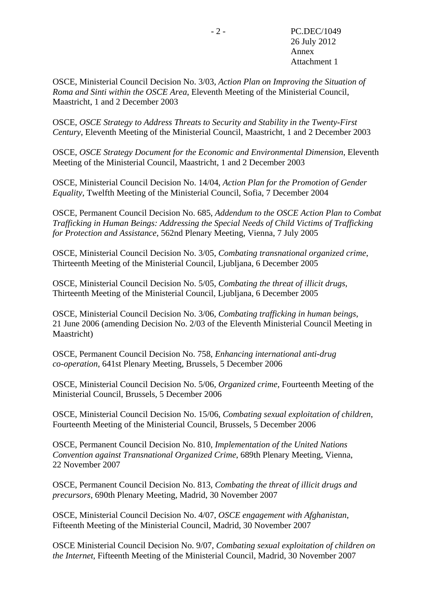OSCE, Ministerial Council Decision No. 3/03, *Action Plan on Improving the Situation of Roma and Sinti within the OSCE Area*, Eleventh Meeting of the Ministerial Council, Maastricht, 1 and 2 December 2003

OSCE, *OSCE Strategy to Address Threats to Security and Stability in the Twenty-First Century*, Eleventh Meeting of the Ministerial Council, Maastricht, 1 and 2 December 2003

OSCE, *OSCE Strategy Document for the Economic and Environmental Dimension*, Eleventh Meeting of the Ministerial Council, Maastricht, 1 and 2 December 2003

OSCE, Ministerial Council Decision No. 14/04, *Action Plan for the Promotion of Gender Equality*, Twelfth Meeting of the Ministerial Council, Sofia, 7 December 2004

OSCE, Permanent Council Decision No. 685, *Addendum to the OSCE Action Plan to Combat Trafficking in Human Beings: Addressing the Special Needs of Child Victims of Trafficking for Protection and Assistance*, 562nd Plenary Meeting, Vienna, 7 July 2005

OSCE, Ministerial Council Decision No. 3/05, *Combating transnational organized crime*, Thirteenth Meeting of the Ministerial Council, Ljubljana, 6 December 2005

OSCE, Ministerial Council Decision No. 5/05, *Combating the threat of illicit drugs*, Thirteenth Meeting of the Ministerial Council, Ljubljana, 6 December 2005

OSCE, Ministerial Council Decision No. 3/06, *Combating trafficking in human beings*, 21 June 2006 (amending Decision No. 2/03 of the Eleventh Ministerial Council Meeting in Maastricht)

OSCE, Permanent Council Decision No. 758, *Enhancing international anti-drug co-operation*, 641st Plenary Meeting, Brussels, 5 December 2006

OSCE, Ministerial Council Decision No. 5/06, *Organized crime*, Fourteenth Meeting of the Ministerial Council, Brussels, 5 December 2006

OSCE, Ministerial Council Decision No. 15/06, *Combating sexual exploitation of children*, Fourteenth Meeting of the Ministerial Council, Brussels, 5 December 2006

OSCE, Permanent Council Decision No. 810, *Implementation of the United Nations Convention against Transnational Organized Crime*, 689th Plenary Meeting, Vienna, 22 November 2007

OSCE, Permanent Council Decision No. 813, *Combating the threat of illicit drugs and precursors*, 690th Plenary Meeting, Madrid, 30 November 2007

OSCE, Ministerial Council Decision No. 4/07, *OSCE engagement with Afghanistan*, Fifteenth Meeting of the Ministerial Council, Madrid, 30 November 2007

OSCE Ministerial Council Decision No. 9/07, *Combating sexual exploitation of children on the Internet*, Fifteenth Meeting of the Ministerial Council, Madrid, 30 November 2007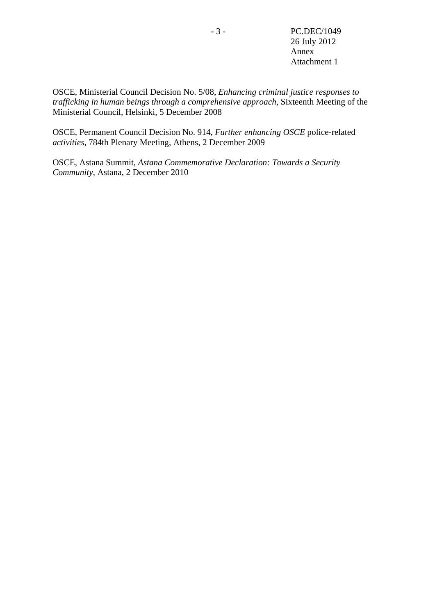OSCE, Ministerial Council Decision No. 5/08, *Enhancing criminal justice responses to trafficking in human beings through a comprehensive approach*, Sixteenth Meeting of the Ministerial Council, Helsinki, 5 December 2008

OSCE, Permanent Council Decision No. 914, *Further enhancing OSCE* police-related *activities*, 784th Plenary Meeting, Athens, 2 December 2009

OSCE, Astana Summit, *Astana Commemorative Declaration: Towards a Security Community*, Astana, 2 December 2010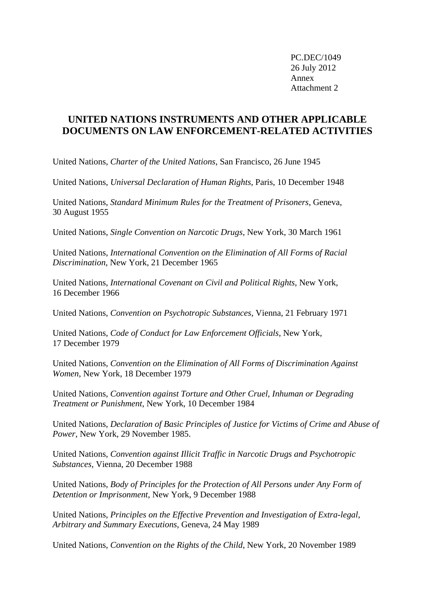PC.DEC/1049 26 July 2012 Annex Attachment 2

## **UNITED NATIONS INSTRUMENTS AND OTHER APPLICABLE DOCUMENTS ON LAW ENFORCEMENT-RELATED ACTIVITIES**

United Nations, *Charter of the United Nations*, San Francisco, 26 June 1945

United Nations, *Universal Declaration of Human Rights*, Paris, 10 December 1948

United Nations, *Standard Minimum Rules for the Treatment of Prisoners*, Geneva, 30 August 1955

United Nations, *Single Convention on Narcotic Drugs*, New York, 30 March 1961

United Nations, *International Convention on the Elimination of All Forms of Racial Discrimination*, New York, 21 December 1965

United Nations, *International Covenant on Civil and Political Rights*, New York, 16 December 1966

United Nations, *Convention on Psychotropic Substances*, Vienna, 21 February 1971

United Nations, *Code of Conduct for Law Enforcement Officials*, New York, 17 December 1979

United Nations, *Convention on the Elimination of All Forms of Discrimination Against Women*, New York, 18 December 1979

United Nations, *Convention against Torture and Other Cruel, Inhuman or Degrading Treatment or Punishment*, New York, 10 December 1984

United Nations, *Declaration of Basic Principles of Justice for Victims of Crime and Abuse of Power*, New York, 29 November 1985.

United Nations, *Convention against Illicit Traffic in Narcotic Drugs and Psychotropic Substances*, Vienna, 20 December 1988

United Nations, *Body of Principles for the Protection of All Persons under Any Form of Detention or Imprisonment*, New York, 9 December 1988

United Nations, *Principles on the Effective Prevention and Investigation of Extra-legal, Arbitrary and Summary Executions*, Geneva, 24 May 1989

United Nations, *Convention on the Rights of the Child*, New York, 20 November 1989